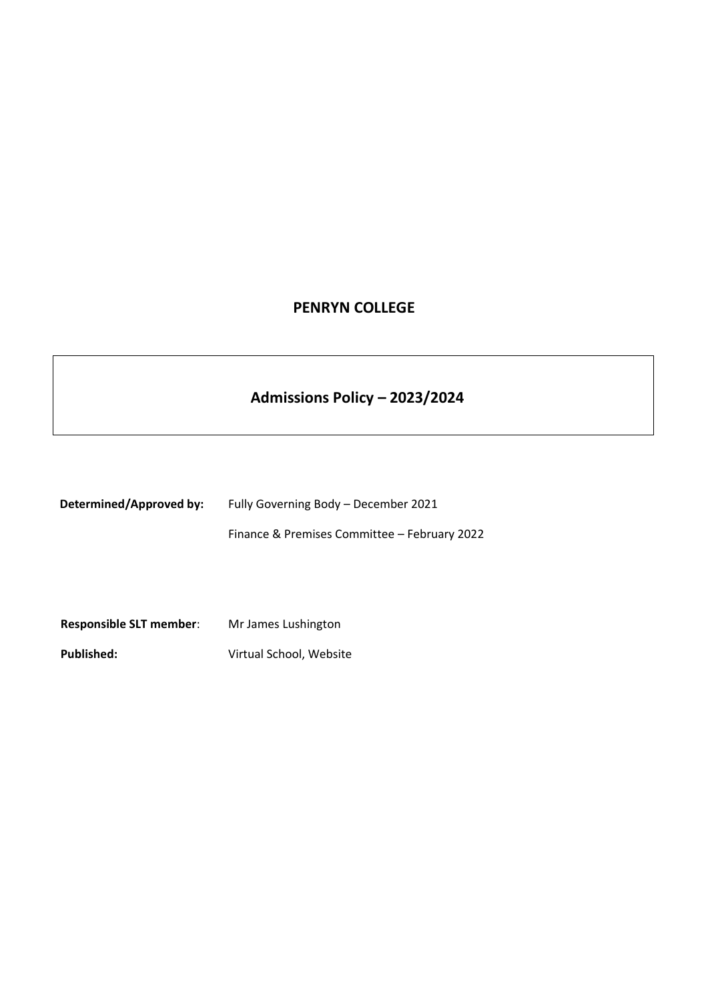## **PENRYN COLLEGE**

# **Admissions Policy – 2023/2024**

| Determined/Approved by: | Fully Governing Body – December 2021         |
|-------------------------|----------------------------------------------|
|                         | Finance & Premises Committee – February 2022 |
|                         |                                              |

**Responsible SLT member**: Mr James Lushington **Published:** Virtual School, Website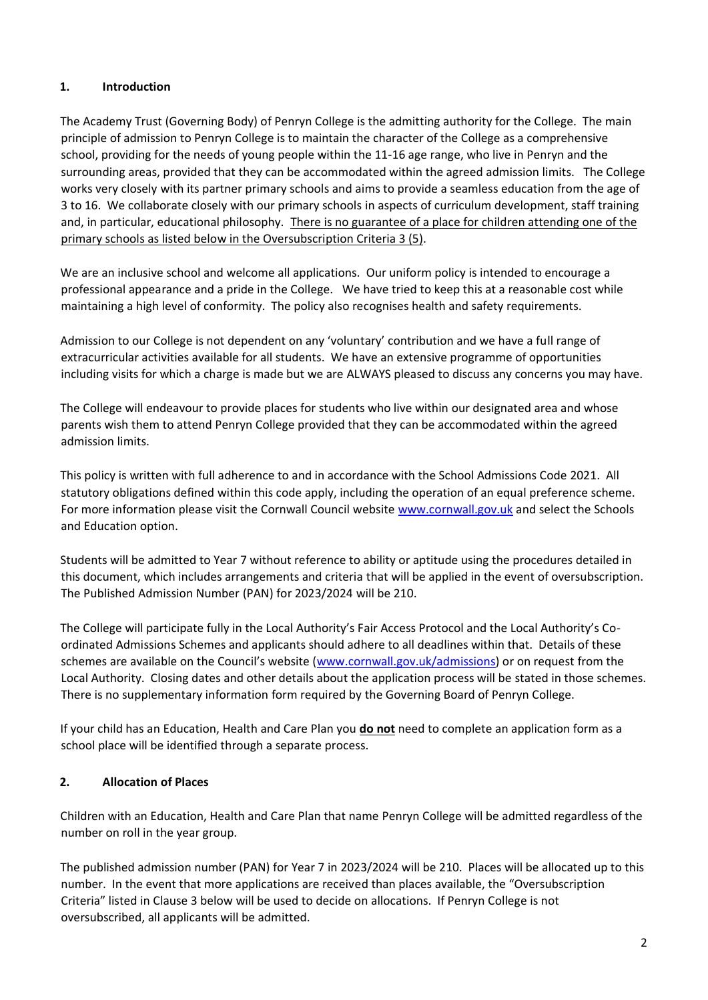## **1. Introduction**

The Academy Trust (Governing Body) of Penryn College is the admitting authority for the College. The main principle of admission to Penryn College is to maintain the character of the College as a comprehensive school, providing for the needs of young people within the 11-16 age range, who live in Penryn and the surrounding areas, provided that they can be accommodated within the agreed admission limits. The College works very closely with its partner primary schools and aims to provide a seamless education from the age of 3 to 16. We collaborate closely with our primary schools in aspects of curriculum development, staff training and, in particular, educational philosophy. There is no guarantee of a place for children attending one of the primary schools as listed below in the Oversubscription Criteria 3 (5).

We are an inclusive school and welcome all applications. Our uniform policy is intended to encourage a professional appearance and a pride in the College. We have tried to keep this at a reasonable cost while maintaining a high level of conformity. The policy also recognises health and safety requirements.

Admission to our College is not dependent on any 'voluntary' contribution and we have a full range of extracurricular activities available for all students. We have an extensive programme of opportunities including visits for which a charge is made but we are ALWAYS pleased to discuss any concerns you may have.

The College will endeavour to provide places for students who live within our designated area and whose parents wish them to attend Penryn College provided that they can be accommodated within the agreed admission limits.

This policy is written with full adherence to and in accordance with the School Admissions Code 2021. All statutory obligations defined within this code apply, including the operation of an equal preference scheme. For more information please visit the Cornwall Council websit[e www.cornwall.gov.uk](http://www.cornwall.gov.uk/) [an](http://www.cornwall.gov.uk/)d select the Schools and Education option.

Students will be admitted to Year 7 without reference to ability or aptitude using the procedures detailed in this document, which includes arrangements and criteria that will be applied in the event of oversubscription. The Published Admission Number (PAN) for 2023/2024 will be 210.

The College will participate fully in the Local Authority's Fair Access Protocol and the Local Authority's Coordinated Admissions Schemes and applicants should adhere to all deadlines within that. Details of these schemes are available on the Council's website ([www.cornwall.gov.uk/admissions\) o](http://www.cornwall.gov.uk/admissions)r on request from the Local Authority. Closing dates and other details about the application process will be stated in those schemes. There is no supplementary information form required by the Governing Board of Penryn College.

If your child has an Education, Health and Care Plan you **do not** need to complete an application form as a school place will be identified through a separate process.

## **2. Allocation of Places**

Children with an Education, Health and Care Plan that name Penryn College will be admitted regardless of the number on roll in the year group.

The published admission number (PAN) for Year 7 in 2023/2024 will be 210. Places will be allocated up to this number. In the event that more applications are received than places available, the "Oversubscription Criteria" listed in Clause 3 below will be used to decide on allocations. If Penryn College is not oversubscribed, all applicants will be admitted.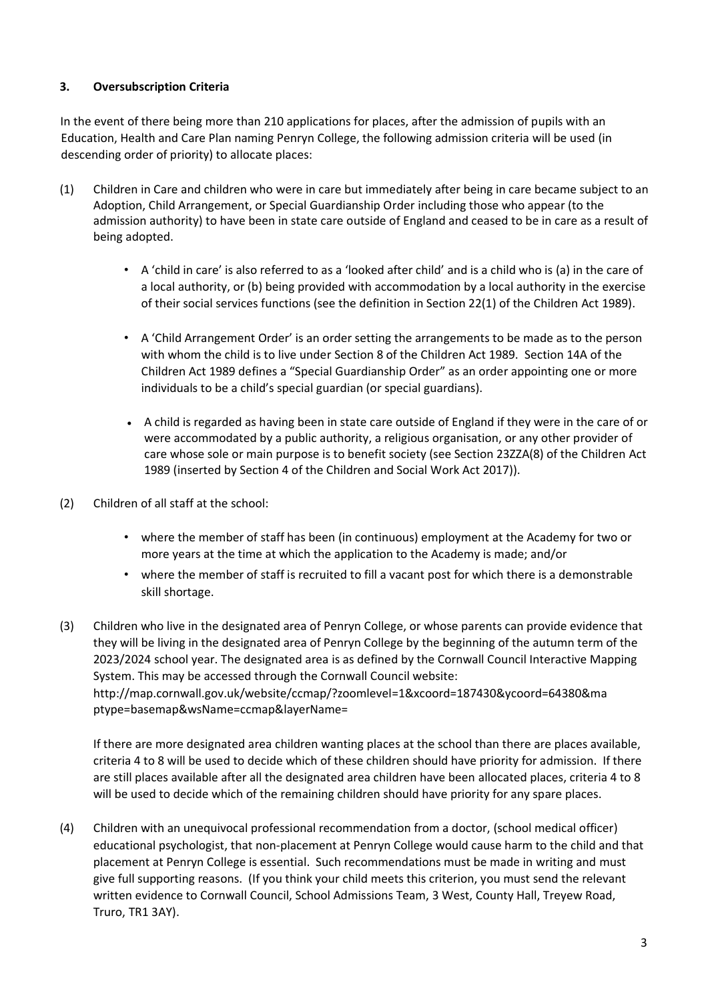## **3. Oversubscription Criteria**

In the event of there being more than 210 applications for places, after the admission of pupils with an Education, Health and Care Plan naming Penryn College, the following admission criteria will be used (in descending order of priority) to allocate places:

- (1) Children in Care and children who were in care but immediately after being in care became subject to an Adoption, Child Arrangement, or Special Guardianship Order including those who appear (to the admission authority) to have been in state care outside of England and ceased to be in care as a result of being adopted.
	- A 'child in care' is also referred to as a 'looked after child' and is a child who is (a) in the care of a local authority, or (b) being provided with accommodation by a local authority in the exercise of their social services functions (see the definition in Section 22(1) of the Children Act 1989).
	- A 'Child Arrangement Order' is an order setting the arrangements to be made as to the person with whom the child is to live under Section 8 of the Children Act 1989. Section 14A of the Children Act 1989 defines a "Special Guardianship Order" as an order appointing one or more individuals to be a child's special guardian (or special guardians).
	- A child is regarded as having been in state care outside of England if they were in the care of or were accommodated by a public authority, a religious organisation, or any other provider of care whose sole or main purpose is to benefit society (see Section 23ZZA(8) of the Children Act 1989 (inserted by Section 4 of the Children and Social Work Act 2017)).
- (2) Children of all staff at the school:
	- where the member of staff has been (in continuous) employment at the Academy for two or more years at the time at which the application to the Academy is made; and/or
	- where the member of staff is recruited to fill a vacant post for which there is a demonstrable skill shortage.
- (3) Children who live in the designated area of Penryn College, or whose parents can provide evidence that they will be living in the designated area of Penryn College by the beginning of the autumn term of the 2023/2024 school year. The designated area is as defined by the Cornwall Council Interactive Mapping System. This may be accessed through the Cornwall Council website: http://map.cornwall.gov.uk/website/ccmap/?zoomlevel=1&xcoord=187430&ycoord=64380&ma ptype=basemap&wsName=ccmap&layerName=

If there are more designated area children wanting places at the school than there are places available, criteria 4 to 8 will be used to decide which of these children should have priority for admission. If there are still places available after all the designated area children have been allocated places, criteria 4 to 8 will be used to decide which of the remaining children should have priority for any spare places.

(4) Children with an unequivocal professional recommendation from a doctor, (school medical officer) educational psychologist, that non-placement at Penryn College would cause harm to the child and that placement at Penryn College is essential. Such recommendations must be made in writing and must give full supporting reasons. (If you think your child meets this criterion, you must send the relevant written evidence to Cornwall Council, School Admissions Team, 3 West, County Hall, Treyew Road, Truro, TR1 3AY).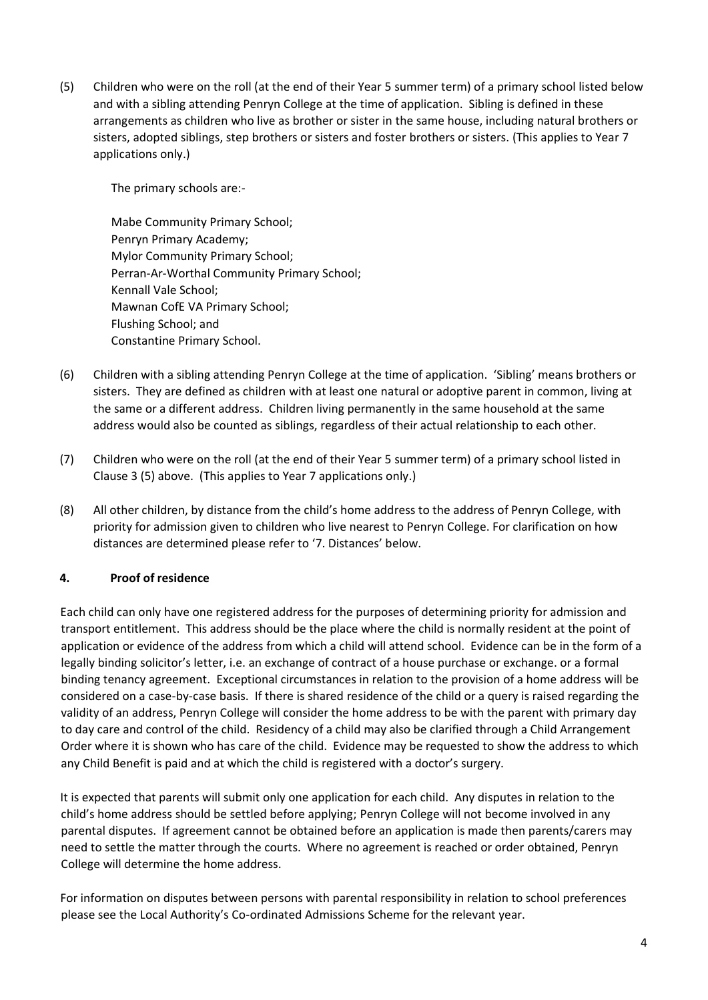(5) Children who were on the roll (at the end of their Year 5 summer term) of a primary school listed below and with a sibling attending Penryn College at the time of application. Sibling is defined in these arrangements as children who live as brother or sister in the same house, including natural brothers or sisters, adopted siblings, step brothers or sisters and foster brothers or sisters. (This applies to Year 7 applications only.)

The primary schools are:-

Mabe Community Primary School; Penryn Primary Academy; Mylor Community Primary School; Perran-Ar-Worthal Community Primary School; Kennall Vale School; Mawnan CofE VA Primary School; Flushing School; and Constantine Primary School.

- (6) Children with a sibling attending Penryn College at the time of application. 'Sibling' means brothers or sisters. They are defined as children with at least one natural or adoptive parent in common, living at the same or a different address. Children living permanently in the same household at the same address would also be counted as siblings, regardless of their actual relationship to each other.
- (7) Children who were on the roll (at the end of their Year 5 summer term) of a primary school listed in Clause 3 (5) above. (This applies to Year 7 applications only.)
- (8) All other children, by distance from the child's home address to the address of Penryn College, with priority for admission given to children who live nearest to Penryn College. For clarification on how distances are determined please refer to '7. Distances' below.

#### **4. Proof of residence**

Each child can only have one registered address for the purposes of determining priority for admission and transport entitlement. This address should be the place where the child is normally resident at the point of application or evidence of the address from which a child will attend school. Evidence can be in the form of a legally binding solicitor's letter, i.e. an exchange of contract of a house purchase or exchange. or a formal binding tenancy agreement. Exceptional circumstances in relation to the provision of a home address will be considered on a case-by-case basis. If there is shared residence of the child or a query is raised regarding the validity of an address, Penryn College will consider the home address to be with the parent with primary day to day care and control of the child. Residency of a child may also be clarified through a Child Arrangement Order where it is shown who has care of the child. Evidence may be requested to show the address to which any Child Benefit is paid and at which the child is registered with a doctor's surgery.

It is expected that parents will submit only one application for each child. Any disputes in relation to the child's home address should be settled before applying; Penryn College will not become involved in any parental disputes. If agreement cannot be obtained before an application is made then parents/carers may need to settle the matter through the courts. Where no agreement is reached or order obtained, Penryn College will determine the home address.

For information on disputes between persons with parental responsibility in relation to school preferences please see the Local Authority's Co-ordinated Admissions Scheme for the relevant year.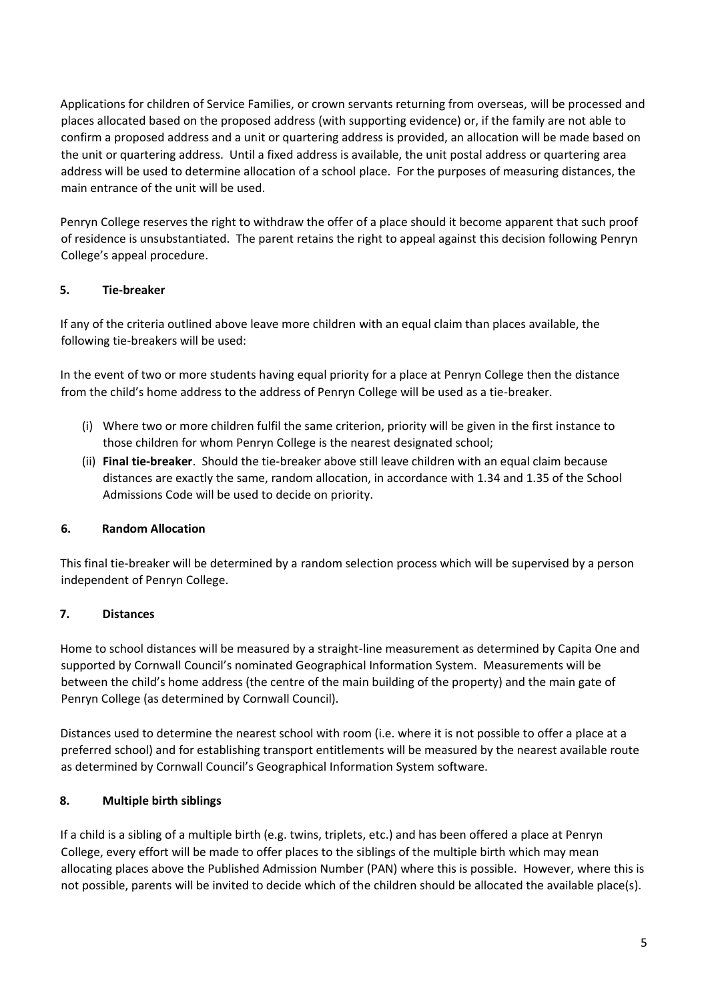Applications for children of Service Families, or crown servants returning from overseas, will be processed and places allocated based on the proposed address (with supporting evidence) or, if the family are not able to confirm a proposed address and a unit or quartering address is provided, an allocation will be made based on the unit or quartering address. Until a fixed address is available, the unit postal address or quartering area address will be used to determine allocation of a school place. For the purposes of measuring distances, the main entrance of the unit will be used.

Penryn College reserves the right to withdraw the offer of a place should it become apparent that such proof of residence is unsubstantiated. The parent retains the right to appeal against this decision following Penryn College's appeal procedure.

## **5. Tie-breaker**

If any of the criteria outlined above leave more children with an equal claim than places available, the following tie-breakers will be used:

In the event of two or more students having equal priority for a place at Penryn College then the distance from the child's home address to the address of Penryn College will be used as a tie-breaker.

- (i) Where two or more children fulfil the same criterion, priority will be given in the first instance to those children for whom Penryn College is the nearest designated school;
- (ii) **Final tie-breaker**. Should the tie-breaker above still leave children with an equal claim because distances are exactly the same, random allocation, in accordance with 1.34 and 1.35 of the School Admissions Code will be used to decide on priority.

## **6. Random Allocation**

This final tie-breaker will be determined by a random selection process which will be supervised by a person independent of Penryn College.

#### **7. Distances**

Home to school distances will be measured by a straight-line measurement as determined by Capita One and supported by Cornwall Council's nominated Geographical Information System. Measurements will be between the child's home address (the centre of the main building of the property) and the main gate of Penryn College (as determined by Cornwall Council).

Distances used to determine the nearest school with room (i.e. where it is not possible to offer a place at a preferred school) and for establishing transport entitlements will be measured by the nearest available route as determined by Cornwall Council's Geographical Information System software.

#### **8. Multiple birth siblings**

If a child is a sibling of a multiple birth (e.g. twins, triplets, etc.) and has been offered a place at Penryn College, every effort will be made to offer places to the siblings of the multiple birth which may mean allocating places above the Published Admission Number (PAN) where this is possible. However, where this is not possible, parents will be invited to decide which of the children should be allocated the available place(s).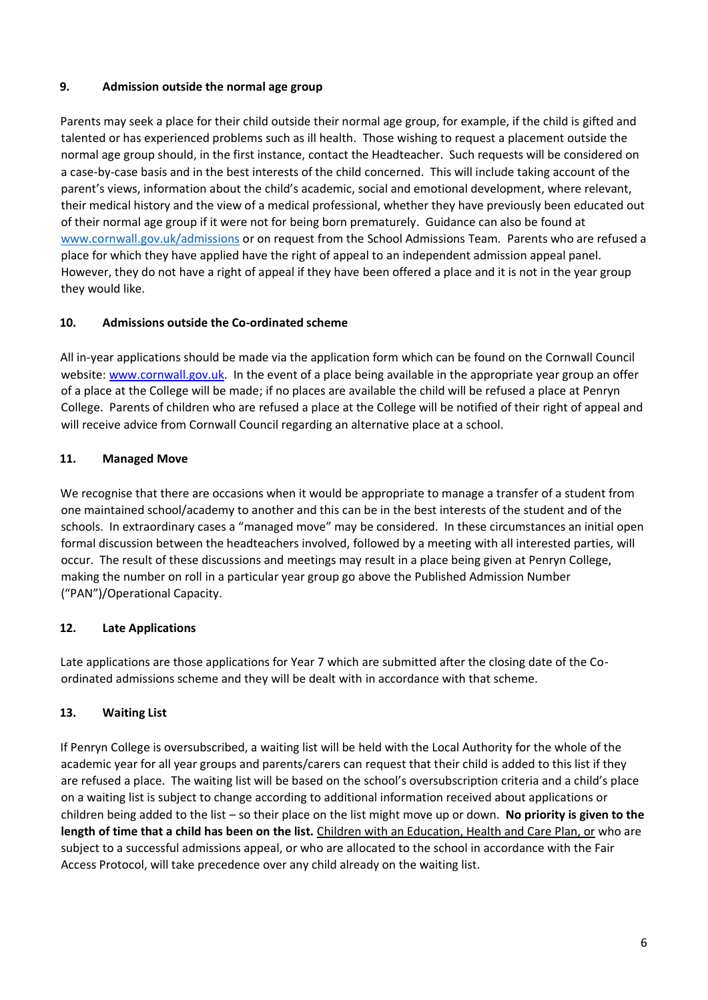## **9. Admission outside the normal age group**

Parents may seek a place for their child outside their normal age group, for example, if the child is gifted and talented or has experienced problems such as ill health. Those wishing to request a placement outside the normal age group should, in the first instance, contact the Headteacher. Such requests will be considered on a case-by-case basis and in the best interests of the child concerned. This will include taking account of the parent's views, information about the child's academic, social and emotional development, where relevant, their medical history and the view of a medical professional, whether they have previously been educated out of their normal age group if it were not for being born prematurely. Guidance can also be found at [www.cornwall.gov.uk/admissions](http://www.cornwall.gov.uk/admissions) or on request from the School Admissions Team. Parents who are refused a place for which they have applied have the right of appeal to an independent admission appeal panel. However, they do not have a right of appeal if they have been offered a place and it is not in the year group they would like.

## **10. Admissions outside the Co-ordinated scheme**

All in-year applications should be made via the application form which can be found on the Cornwall Council website: [www.cornwall.gov.uk.](http://www.cornwall.gov.uk/) In the event of a place being available in the appropriate year group an offer of a place at the College will be made; if no places are available the child will be refused a place at Penryn College. Parents of children who are refused a place at the College will be notified of their right of appeal and will receive advice from Cornwall Council regarding an alternative place at a school.

## **11. Managed Move**

We recognise that there are occasions when it would be appropriate to manage a transfer of a student from one maintained school/academy to another and this can be in the best interests of the student and of the schools. In extraordinary cases a "managed move" may be considered. In these circumstances an initial open formal discussion between the headteachers involved, followed by a meeting with all interested parties, will occur. The result of these discussions and meetings may result in a place being given at Penryn College, making the number on roll in a particular year group go above the Published Admission Number ("PAN")/Operational Capacity.

## **12. Late Applications**

Late applications are those applications for Year 7 which are submitted after the closing date of the Coordinated admissions scheme and they will be dealt with in accordance with that scheme.

## **13. Waiting List**

If Penryn College is oversubscribed, a waiting list will be held with the Local Authority for the whole of the academic year for all year groups and parents/carers can request that their child is added to this list if they are refused a place. The waiting list will be based on the school's oversubscription criteria and a child's place on a waiting list is subject to change according to additional information received about applications or children being added to the list – so their place on the list might move up or down. **No priority is given to the length of time that a child has been on the list.** Children with an Education, Health and Care Plan, or who are subject to a successful admissions appeal, or who are allocated to the school in accordance with the Fair Access Protocol, will take precedence over any child already on the waiting list.